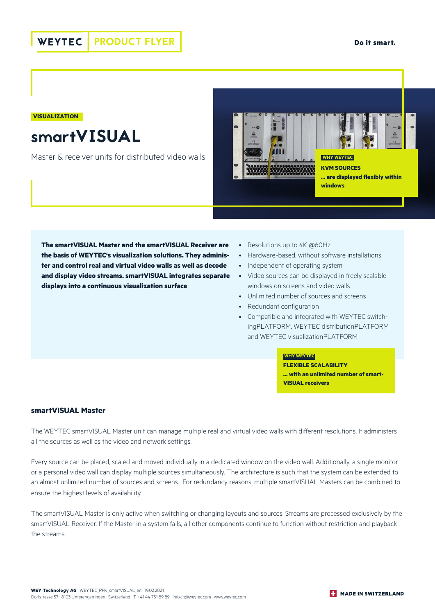**VISUALIZATION**

smartVISUAL

Master & receiver units for distributed video walls



**The smartVISUAL Master and the smartVISUAL Receiver are the basis of WEYTEC's visualization solutions. They administer and control real and virtual video walls as well as decode and display video streams. smartVISUAL integrates separate displays into a continuous visualization surface** 

- Resolutions up to 4K @60Hz
- Hardware-based, without software installations
- Independent of operating system
- Video sources can be displayed in freely scalable windows on screens and video walls
- Unlimited number of sources and screens
- Redundant configuration
- Compatible and integrated with WEYTEC switchingPLATFORM, WEYTEC distributionPLATFORM and WEYTEC visualizationPLATFORM

### **WHY WEYTEC**

**FLEXIBLE SCALABILITY ... with an unlimited number of smart-VISUAL receivers**

## **smartVISUAL Master**

The WEYTEC smartVISUAL Master unit can manage multiple real and virtual video walls with different resolutions. It administers all the sources as well as the video and network settings.

Every source can be placed, scaled and moved individually in a dedicated window on the video wall. Additionally, a single monitor or a personal video wall can display multiple sources simultaneously. The architecture is such that the system can be extended to an almost unlimited number of sources and screens. For redundancy reasons, multiple smartVISUAL Masters can be combined to ensure the highest levels of availability.

The smartVISUAL Master is only active when switching or changing layouts and sources. Streams are processed exclusively by the smartVISUAL Receiver. If the Master in a system fails, all other components continue to function without restriction and playback the streams.